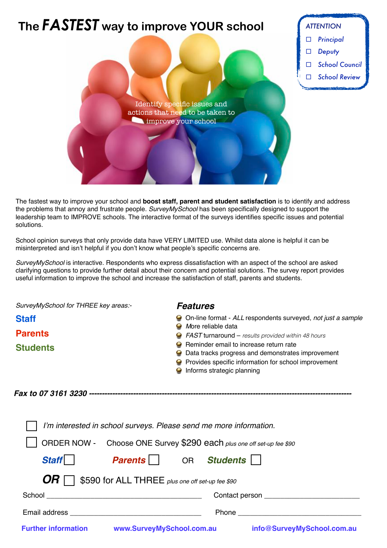

The fastest way to improve your school and **boost staff, parent and student satisfaction** is to identify and address the problems that annoy and frustrate people. *SurveyMySchool* has been specifically designed to support the leadership team to IMPROVE schools. The interactive format of the surveys identifies specific issues and potential solutions.

School opinion surveys that only provide data have VERY LIMITED use. Whilst data alone is helpful it can be misinterpreted and isn't helpful if you don't know what people's specific concerns are.

*SurveyMySchool* is interactive. Respondents who express dissatisfaction with an aspect of the school are asked clarifying questions to provide further detail about their concern and potential solutions. The survey report provides useful information to improve the school and increase the satisfaction of staff, parents and students.

| SurveyMySchool for THREE key areas:-                                  | <b>Features</b>                                                                                                           |
|-----------------------------------------------------------------------|---------------------------------------------------------------------------------------------------------------------------|
| <b>Staff</b>                                                          | On-line format - ALL respondents surveyed, not just a sample                                                              |
| <b>Parents</b>                                                        | More reliable data<br><b>FAST turnaround - results provided within 48 hours</b><br>Reminder email to increase return rate |
| <b>Students</b>                                                       | Data tracks progress and demonstrates improvement                                                                         |
|                                                                       | Provides specific information for school improvement<br>Informs strategic planning                                        |
|                                                                       |                                                                                                                           |
| I'm interested in school surveys. Please send me more information.    |                                                                                                                           |
| ORDER NOW - Choose ONE Survey \$290 each plus one off set-up fee \$90 |                                                                                                                           |
| <b>Parents</b>   OR Students<br><b>Staff</b>                          |                                                                                                                           |
| \$590 for ALL THREE plus one off set-up fee \$90                      |                                                                                                                           |

School \_\_\_\_\_\_\_\_\_\_\_\_\_\_\_\_\_\_\_\_\_\_\_\_\_\_\_\_\_\_\_\_\_\_\_\_\_\_\_ Contact person \_\_\_\_\_\_\_\_\_\_\_\_\_\_\_\_\_\_\_\_\_\_\_\_

## Email address \_\_\_\_\_\_\_\_\_\_\_\_\_\_\_\_\_\_\_\_\_\_\_\_\_\_\_\_\_\_\_\_\_ Phone \_\_\_\_\_\_\_\_\_\_\_\_\_\_\_\_\_\_\_\_\_\_\_\_\_\_\_\_\_\_\_